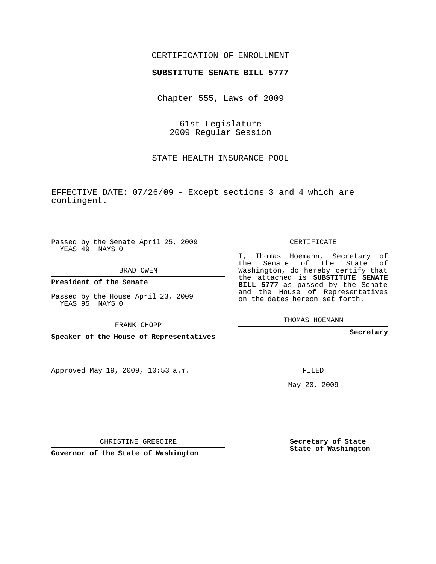## CERTIFICATION OF ENROLLMENT

## **SUBSTITUTE SENATE BILL 5777**

Chapter 555, Laws of 2009

61st Legislature 2009 Regular Session

STATE HEALTH INSURANCE POOL

EFFECTIVE DATE: 07/26/09 - Except sections 3 and 4 which are contingent.

Passed by the Senate April 25, 2009 YEAS 49 NAYS 0

BRAD OWEN

**President of the Senate**

Passed by the House April 23, 2009 YEAS 95 NAYS 0

FRANK CHOPP

**Speaker of the House of Representatives**

Approved May 19, 2009, 10:53 a.m.

CERTIFICATE

I, Thomas Hoemann, Secretary of the Senate of the State of Washington, do hereby certify that the attached is **SUBSTITUTE SENATE BILL 5777** as passed by the Senate and the House of Representatives on the dates hereon set forth.

THOMAS HOEMANN

**Secretary**

FILED

May 20, 2009

**Secretary of State State of Washington**

CHRISTINE GREGOIRE

**Governor of the State of Washington**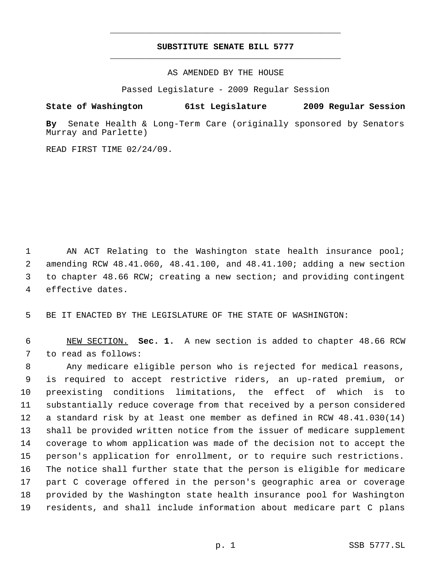## **SUBSTITUTE SENATE BILL 5777** \_\_\_\_\_\_\_\_\_\_\_\_\_\_\_\_\_\_\_\_\_\_\_\_\_\_\_\_\_\_\_\_\_\_\_\_\_\_\_\_\_\_\_\_\_

\_\_\_\_\_\_\_\_\_\_\_\_\_\_\_\_\_\_\_\_\_\_\_\_\_\_\_\_\_\_\_\_\_\_\_\_\_\_\_\_\_\_\_\_\_

AS AMENDED BY THE HOUSE

Passed Legislature - 2009 Regular Session

## **State of Washington 61st Legislature 2009 Regular Session**

**By** Senate Health & Long-Term Care (originally sponsored by Senators Murray and Parlette)

READ FIRST TIME 02/24/09.

1 AN ACT Relating to the Washington state health insurance pool; amending RCW 48.41.060, 48.41.100, and 48.41.100; adding a new section to chapter 48.66 RCW; creating a new section; and providing contingent effective dates.

BE IT ENACTED BY THE LEGISLATURE OF THE STATE OF WASHINGTON:

 NEW SECTION. **Sec. 1.** A new section is added to chapter 48.66 RCW to read as follows:

 Any medicare eligible person who is rejected for medical reasons, is required to accept restrictive riders, an up-rated premium, or preexisting conditions limitations, the effect of which is to substantially reduce coverage from that received by a person considered a standard risk by at least one member as defined in RCW 48.41.030(14) shall be provided written notice from the issuer of medicare supplement coverage to whom application was made of the decision not to accept the person's application for enrollment, or to require such restrictions. The notice shall further state that the person is eligible for medicare part C coverage offered in the person's geographic area or coverage provided by the Washington state health insurance pool for Washington residents, and shall include information about medicare part C plans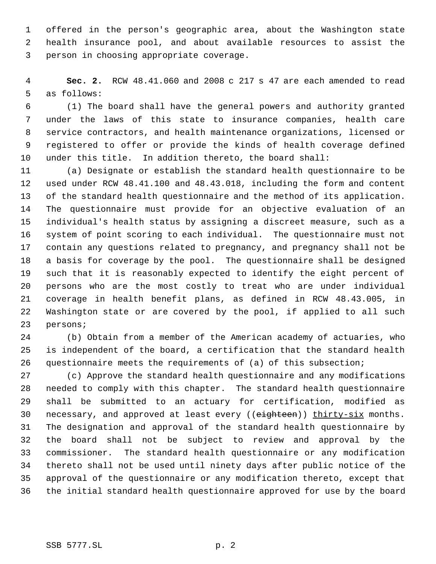offered in the person's geographic area, about the Washington state health insurance pool, and about available resources to assist the person in choosing appropriate coverage.

 **Sec. 2.** RCW 48.41.060 and 2008 c 217 s 47 are each amended to read as follows:

 (1) The board shall have the general powers and authority granted under the laws of this state to insurance companies, health care service contractors, and health maintenance organizations, licensed or registered to offer or provide the kinds of health coverage defined under this title. In addition thereto, the board shall:

 (a) Designate or establish the standard health questionnaire to be used under RCW 48.41.100 and 48.43.018, including the form and content of the standard health questionnaire and the method of its application. The questionnaire must provide for an objective evaluation of an individual's health status by assigning a discreet measure, such as a system of point scoring to each individual. The questionnaire must not contain any questions related to pregnancy, and pregnancy shall not be a basis for coverage by the pool. The questionnaire shall be designed such that it is reasonably expected to identify the eight percent of persons who are the most costly to treat who are under individual coverage in health benefit plans, as defined in RCW 48.43.005, in Washington state or are covered by the pool, if applied to all such persons;

 (b) Obtain from a member of the American academy of actuaries, who is independent of the board, a certification that the standard health questionnaire meets the requirements of (a) of this subsection;

 (c) Approve the standard health questionnaire and any modifications needed to comply with this chapter. The standard health questionnaire shall be submitted to an actuary for certification, modified as 30 necessary, and approved at least every ((eighteen)) thirty-six months. The designation and approval of the standard health questionnaire by the board shall not be subject to review and approval by the commissioner. The standard health questionnaire or any modification thereto shall not be used until ninety days after public notice of the approval of the questionnaire or any modification thereto, except that the initial standard health questionnaire approved for use by the board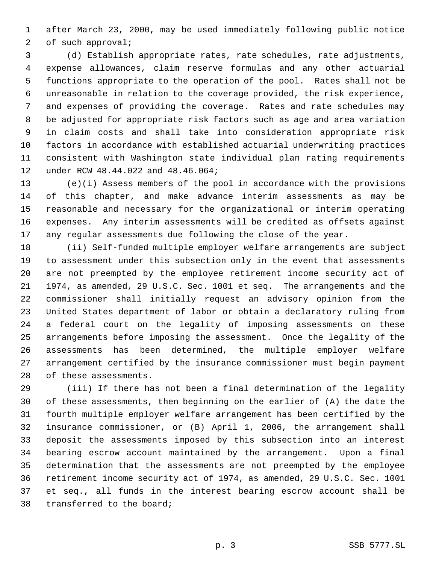after March 23, 2000, may be used immediately following public notice of such approval;

 (d) Establish appropriate rates, rate schedules, rate adjustments, expense allowances, claim reserve formulas and any other actuarial functions appropriate to the operation of the pool. Rates shall not be unreasonable in relation to the coverage provided, the risk experience, and expenses of providing the coverage. Rates and rate schedules may be adjusted for appropriate risk factors such as age and area variation in claim costs and shall take into consideration appropriate risk factors in accordance with established actuarial underwriting practices consistent with Washington state individual plan rating requirements under RCW 48.44.022 and 48.46.064;

 (e)(i) Assess members of the pool in accordance with the provisions of this chapter, and make advance interim assessments as may be reasonable and necessary for the organizational or interim operating expenses. Any interim assessments will be credited as offsets against any regular assessments due following the close of the year.

 (ii) Self-funded multiple employer welfare arrangements are subject to assessment under this subsection only in the event that assessments are not preempted by the employee retirement income security act of 1974, as amended, 29 U.S.C. Sec. 1001 et seq. The arrangements and the commissioner shall initially request an advisory opinion from the United States department of labor or obtain a declaratory ruling from a federal court on the legality of imposing assessments on these arrangements before imposing the assessment. Once the legality of the assessments has been determined, the multiple employer welfare arrangement certified by the insurance commissioner must begin payment of these assessments.

 (iii) If there has not been a final determination of the legality of these assessments, then beginning on the earlier of (A) the date the fourth multiple employer welfare arrangement has been certified by the insurance commissioner, or (B) April 1, 2006, the arrangement shall deposit the assessments imposed by this subsection into an interest bearing escrow account maintained by the arrangement. Upon a final determination that the assessments are not preempted by the employee retirement income security act of 1974, as amended, 29 U.S.C. Sec. 1001 et seq., all funds in the interest bearing escrow account shall be transferred to the board;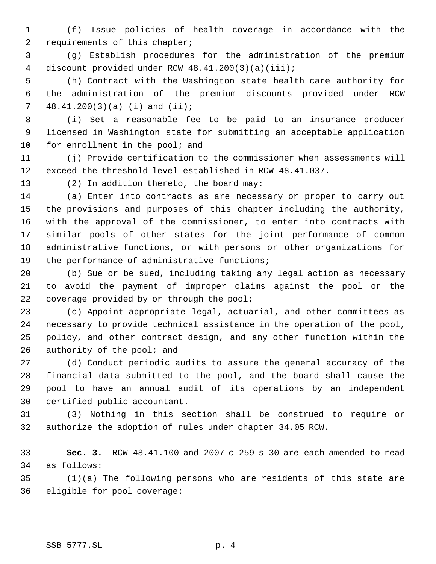(f) Issue policies of health coverage in accordance with the 2 requirements of this chapter;

 (g) Establish procedures for the administration of the premium discount provided under RCW 48.41.200(3)(a)(iii);

 (h) Contract with the Washington state health care authority for the administration of the premium discounts provided under RCW 48.41.200(3)(a) (i) and (ii);

 (i) Set a reasonable fee to be paid to an insurance producer licensed in Washington state for submitting an acceptable application 10 for enrollment in the pool; and

 (j) Provide certification to the commissioner when assessments will exceed the threshold level established in RCW 48.41.037.

13 (2) In addition thereto, the board may:

 (a) Enter into contracts as are necessary or proper to carry out the provisions and purposes of this chapter including the authority, with the approval of the commissioner, to enter into contracts with similar pools of other states for the joint performance of common administrative functions, or with persons or other organizations for the performance of administrative functions;

 (b) Sue or be sued, including taking any legal action as necessary to avoid the payment of improper claims against the pool or the 22 coverage provided by or through the pool;

 (c) Appoint appropriate legal, actuarial, and other committees as necessary to provide technical assistance in the operation of the pool, policy, and other contract design, and any other function within the 26 authority of the pool; and

 (d) Conduct periodic audits to assure the general accuracy of the financial data submitted to the pool, and the board shall cause the pool to have an annual audit of its operations by an independent certified public accountant.

 (3) Nothing in this section shall be construed to require or authorize the adoption of rules under chapter 34.05 RCW.

 **Sec. 3.** RCW 48.41.100 and 2007 c 259 s 30 are each amended to read as follows:

 (1)(a) The following persons who are residents of this state are eligible for pool coverage: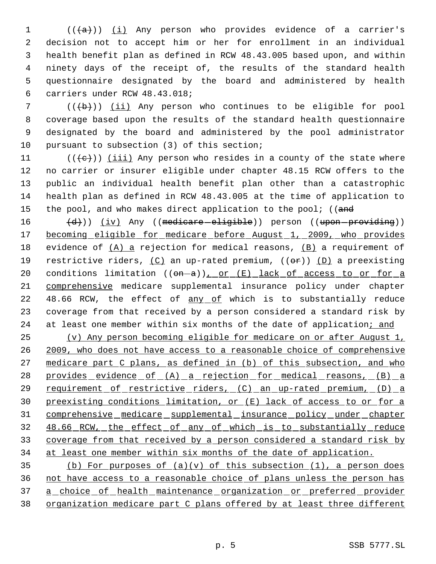(( $\{a\}$ )) <u>(i)</u> Any person who provides evidence of a carrier's decision not to accept him or her for enrollment in an individual health benefit plan as defined in RCW 48.43.005 based upon, and within ninety days of the receipt of, the results of the standard health questionnaire designated by the board and administered by health carriers under RCW 48.43.018;

7 (((b))) (ii) Any person who continues to be eligible for pool coverage based upon the results of the standard health questionnaire designated by the board and administered by the pool administrator pursuant to subsection (3) of this section;

11 ( $(\langle e \rangle)$ ) (iii) Any person who resides in a county of the state where 12 no carrier or insurer eligible under chapter 48.15 RCW offers to the 13 public an individual health benefit plan other than a catastrophic 14 health plan as defined in RCW 48.43.005 at the time of application to 15 the pool, and who makes direct application to the pool; ((and

16 (d))) (iv) Any ((medicare-eligible)) person ((upon-providing)) 17 becoming eligible for medicare before August 1, 2009, who provides 18 evidence of (A) a rejection for medical reasons, (B) a requirement of 19 restrictive riders,  $(C)$  an up-rated premium,  $((\theta \cdot F))$  (D) a preexisting 20 conditions limitation  $((\omega - a))_{r}$  or  $(E)$  lack of access to or for a 21 comprehensive medicare supplemental insurance policy under chapter 22 48.66 RCW, the effect of any of which is to substantially reduce 23 coverage from that received by a person considered a standard risk by 24 at least one member within six months of the date of application; and

25 (v) Any person becoming eligible for medicare on or after August 1, 26 2009, who does not have access to a reasonable choice of comprehensive 27 medicare part C plans, as defined in (b) of this subsection, and who 28 provides evidence of (A) a rejection for medical reasons, (B) a 29 requirement of restrictive riders, (C) an up-rated premium, (D) a 30 preexisting conditions limitation, or (E) lack of access to or for a 31 comprehensive medicare supplemental insurance policy under chapter 32 48.66 RCW, the effect of any of which is to substantially reduce 33 coverage from that received by a person considered a standard risk by 34 at least one member within six months of the date of application.

35 (b) For purposes of  $(a)(v)$  of this subsection  $(1)$ , a person does 36 not have access to a reasonable choice of plans unless the person has 37 a choice of health maintenance organization or preferred provider 38 organization medicare part C plans offered by at least three different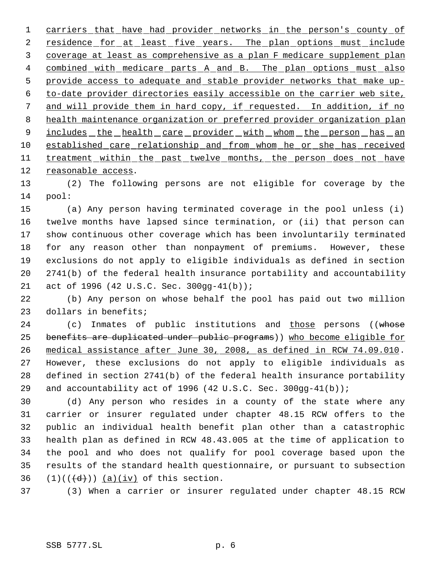carriers that have had provider networks in the person's county of 2 residence for at least five years. The plan options must include coverage at least as comprehensive as a plan F medicare supplement plan combined with medicare parts A and B. The plan options must also provide access to adequate and stable provider networks that make up- to-date provider directories easily accessible on the carrier web site, and will provide them in hard copy, if requested. In addition, if no health maintenance organization or preferred provider organization plan 9 includes the health care provider with whom the person has an 10 established care relationship and from whom he or she has received 11 treatment within the past twelve months, the person does not have reasonable access.

 (2) The following persons are not eligible for coverage by the pool:

 (a) Any person having terminated coverage in the pool unless (i) twelve months have lapsed since termination, or (ii) that person can show continuous other coverage which has been involuntarily terminated for any reason other than nonpayment of premiums. However, these exclusions do not apply to eligible individuals as defined in section 2741(b) of the federal health insurance portability and accountability act of 1996 (42 U.S.C. Sec. 300gg-41(b));

 (b) Any person on whose behalf the pool has paid out two million dollars in benefits;

24 (c) Inmates of public institutions and those persons ((whose 25 benefits are duplicated under public programs)) who become eligible for medical assistance after June 30, 2008, as defined in RCW 74.09.010. However, these exclusions do not apply to eligible individuals as defined in section 2741(b) of the federal health insurance portability 29 and accountability act of 1996 (42 U.S.C. Sec. 300gg-41(b));

 (d) Any person who resides in a county of the state where any carrier or insurer regulated under chapter 48.15 RCW offers to the public an individual health benefit plan other than a catastrophic health plan as defined in RCW 48.43.005 at the time of application to the pool and who does not qualify for pool coverage based upon the results of the standard health questionnaire, or pursuant to subsection  $(1)((\{d\}))$  (a)(iv) of this section.

(3) When a carrier or insurer regulated under chapter 48.15 RCW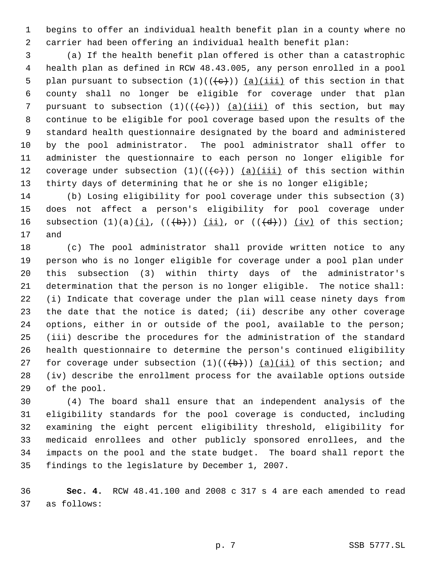begins to offer an individual health benefit plan in a county where no carrier had been offering an individual health benefit plan:

 (a) If the health benefit plan offered is other than a catastrophic health plan as defined in RCW 48.43.005, any person enrolled in a pool 5 plan pursuant to subsection  $(1)((e))$   $(a)(iii)$  of this section in that county shall no longer be eligible for coverage under that plan 7 pursuant to subsection  $(1)((+e))$  (a)(iii) of this section, but may continue to be eligible for pool coverage based upon the results of the standard health questionnaire designated by the board and administered by the pool administrator. The pool administrator shall offer to administer the questionnaire to each person no longer eligible for 12 coverage under subsection  $(1)((\{e\})$   $(a)(iii)$  of this section within 13 thirty days of determining that he or she is no longer eligible;

 (b) Losing eligibility for pool coverage under this subsection (3) does not affect a person's eligibility for pool coverage under 16 subsection  $(1)(a)$  $(i)$ ,  $((+b))$   $(ii)$ , or  $((+d))$   $(iv)$  of this section; and

 (c) The pool administrator shall provide written notice to any person who is no longer eligible for coverage under a pool plan under this subsection (3) within thirty days of the administrator's determination that the person is no longer eligible. The notice shall: (i) Indicate that coverage under the plan will cease ninety days from the date that the notice is dated; (ii) describe any other coverage options, either in or outside of the pool, available to the person; (iii) describe the procedures for the administration of the standard health questionnaire to determine the person's continued eligibility 27 for coverage under subsection  $(1)((\{b\}))$   $(a)(ii)$  of this section; and (iv) describe the enrollment process for the available options outside of the pool.

 (4) The board shall ensure that an independent analysis of the eligibility standards for the pool coverage is conducted, including examining the eight percent eligibility threshold, eligibility for medicaid enrollees and other publicly sponsored enrollees, and the impacts on the pool and the state budget. The board shall report the findings to the legislature by December 1, 2007.

 **Sec. 4.** RCW 48.41.100 and 2008 c 317 s 4 are each amended to read as follows: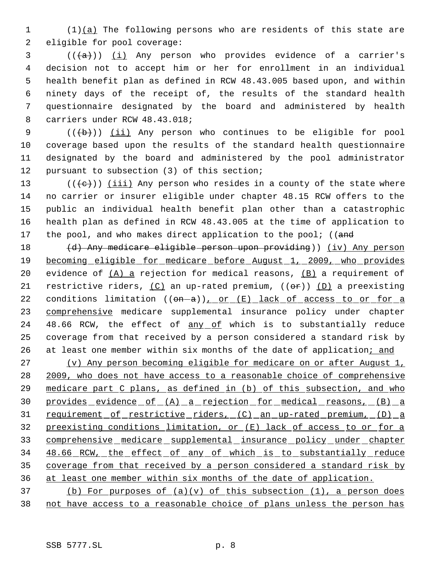1 (1)(a) The following persons who are residents of this state are 2 eligible for pool coverage:

 (( $(a+)$ ) <u>(i)</u> Any person who provides evidence of a carrier's decision not to accept him or her for enrollment in an individual health benefit plan as defined in RCW 48.43.005 based upon, and within ninety days of the receipt of, the results of the standard health questionnaire designated by the board and administered by health carriers under RCW 48.43.018;

9 (((b))) (ii) Any person who continues to be eligible for pool 10 coverage based upon the results of the standard health questionnaire 11 designated by the board and administered by the pool administrator 12 pursuant to subsection (3) of this section;

13 ( $(\langle e \rangle)$ ) <u>(iii)</u> Any person who resides in a county of the state where 14 no carrier or insurer eligible under chapter 48.15 RCW offers to the 15 public an individual health benefit plan other than a catastrophic 16 health plan as defined in RCW 48.43.005 at the time of application to 17 the pool, and who makes direct application to the pool; ((and

18 (d) Any medicare eligible person upon providing)) (iv) Any person 19 becoming eligible for medicare before August 1, 2009, who provides 20 evidence of  $(A)$  a rejection for medical reasons,  $(B)$  a requirement of 21 restrictive riders,  $(C)$  an up-rated premium,  $((\theta \hat{r}))$   $(D)$  a preexisting 22 conditions limitation  $((\omega - a))_{r}$  or  $(E)$  lack of access to or for a 23 comprehensive medicare supplemental insurance policy under chapter 24 48.66 RCW, the effect of any of which is to substantially reduce 25 coverage from that received by a person considered a standard risk by 26 at least one member within six months of the date of application; and

27 (v) Any person becoming eligible for medicare on or after August 1, 28 2009, who does not have access to a reasonable choice of comprehensive 29 medicare part C plans, as defined in (b) of this subsection, and who 30 provides evidence of (A) a rejection for medical reasons, (B) a 31 requirement of restrictive riders, (C) an up-rated premium, (D) a 32 preexisting conditions limitation, or (E) lack of access to or for a 33 comprehensive medicare supplemental insurance policy under chapter 34 48.66 RCW, the effect of any of which is to substantially reduce 35 coverage from that received by a person considered a standard risk by 36 at least one member within six months of the date of application.

37 (b) For purposes of (a)(v) of this subsection (1), a person does 38 not have access to a reasonable choice of plans unless the person has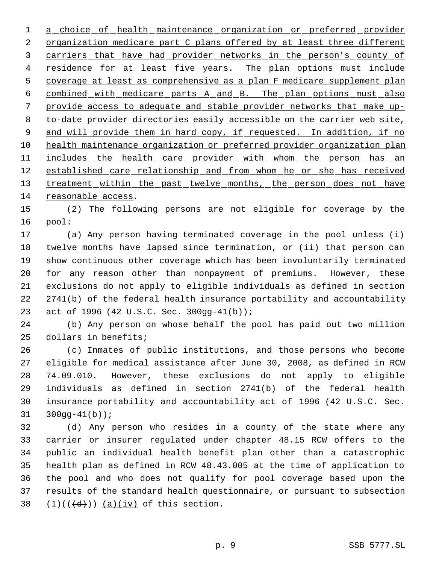1 a choice of health maintenance organization or preferred provider 2 organization medicare part C plans offered by at least three different carriers that have had provider networks in the person's county of 4 residence for at least five years. The plan options must include coverage at least as comprehensive as a plan F medicare supplement plan combined with medicare parts A and B. The plan options must also provide access to adequate and stable provider networks that make up- to-date provider directories easily accessible on the carrier web site, 9 and will provide them in hard copy, if requested. In addition, if no health maintenance organization or preferred provider organization plan 11 includes the health care provider with whom the person has an 12 established care relationship and from whom he or she has received 13 treatment within the past twelve months, the person does not have reasonable access.

 (2) The following persons are not eligible for coverage by the pool:

 (a) Any person having terminated coverage in the pool unless (i) twelve months have lapsed since termination, or (ii) that person can show continuous other coverage which has been involuntarily terminated for any reason other than nonpayment of premiums. However, these exclusions do not apply to eligible individuals as defined in section 2741(b) of the federal health insurance portability and accountability act of 1996 (42 U.S.C. Sec. 300gg-41(b));

 (b) Any person on whose behalf the pool has paid out two million dollars in benefits;

 (c) Inmates of public institutions, and those persons who become eligible for medical assistance after June 30, 2008, as defined in RCW 74.09.010. However, these exclusions do not apply to eligible individuals as defined in section 2741(b) of the federal health insurance portability and accountability act of 1996 (42 U.S.C. Sec. 300gg-41(b));

 (d) Any person who resides in a county of the state where any carrier or insurer regulated under chapter 48.15 RCW offers to the public an individual health benefit plan other than a catastrophic health plan as defined in RCW 48.43.005 at the time of application to the pool and who does not qualify for pool coverage based upon the results of the standard health questionnaire, or pursuant to subsection  $(1)((\{d\}))$   $(a)(iv)$  of this section.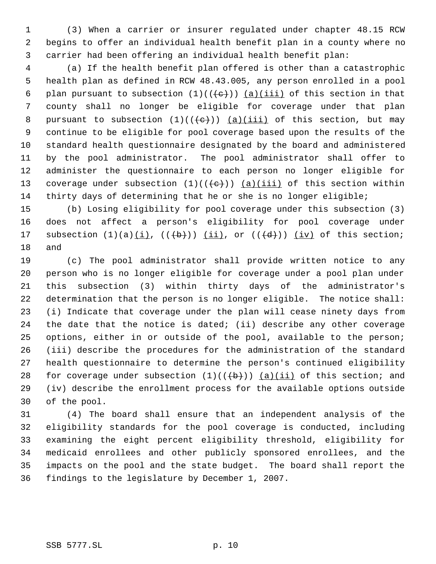(3) When a carrier or insurer regulated under chapter 48.15 RCW begins to offer an individual health benefit plan in a county where no carrier had been offering an individual health benefit plan:

 (a) If the health benefit plan offered is other than a catastrophic health plan as defined in RCW 48.43.005, any person enrolled in a pool 6 plan pursuant to subsection  $(1)((e))$   $(a)(iii)$  of this section in that county shall no longer be eligible for coverage under that plan 8 pursuant to subsection  $(1)((+e))$   $(a)(iii)$  of this section, but may continue to be eligible for pool coverage based upon the results of the standard health questionnaire designated by the board and administered by the pool administrator. The pool administrator shall offer to administer the questionnaire to each person no longer eligible for 13 coverage under subsection  $(1)((\{e\})$   $(a)(iii)$  of this section within thirty days of determining that he or she is no longer eligible;

 (b) Losing eligibility for pool coverage under this subsection (3) does not affect a person's eligibility for pool coverage under 17 subsection  $(1)(a)(i)$ ,  $((+b))$   $(ii)$ , or  $((+d))$   $(iv)$  of this section; and

 (c) The pool administrator shall provide written notice to any person who is no longer eligible for coverage under a pool plan under this subsection (3) within thirty days of the administrator's determination that the person is no longer eligible. The notice shall: (i) Indicate that coverage under the plan will cease ninety days from the date that the notice is dated; (ii) describe any other coverage options, either in or outside of the pool, available to the person; (iii) describe the procedures for the administration of the standard health questionnaire to determine the person's continued eligibility 28 for coverage under subsection  $(1)((\{b\}))$   $(a)(ii)$  of this section; and (iv) describe the enrollment process for the available options outside of the pool.

 (4) The board shall ensure that an independent analysis of the eligibility standards for the pool coverage is conducted, including examining the eight percent eligibility threshold, eligibility for medicaid enrollees and other publicly sponsored enrollees, and the impacts on the pool and the state budget. The board shall report the findings to the legislature by December 1, 2007.